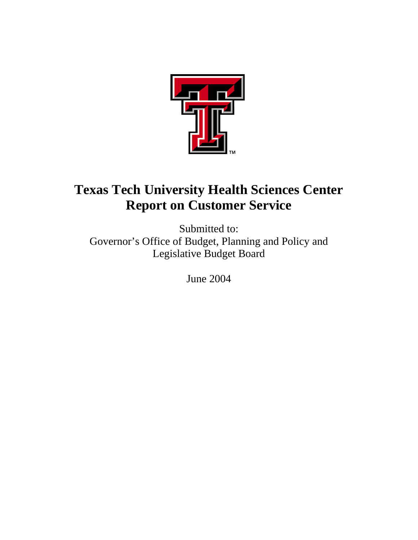

# **Texas Tech University Health Sciences Center Report on Customer Service**

Submitted to: Governor's Office of Budget, Planning and Policy and Legislative Budget Board

June 2004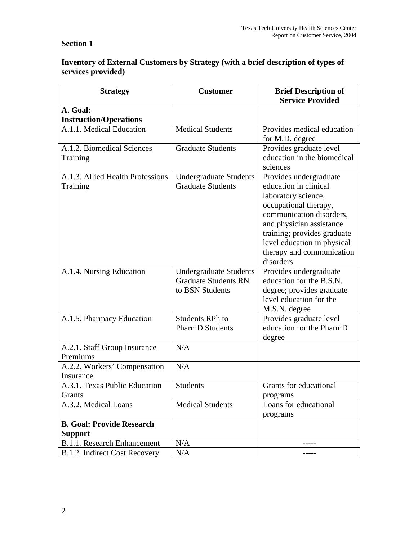# **Section 1**

## **Inventory of External Customers by Strategy (with a brief description of types of services provided)**

| <b>Strategy</b>                           | <b>Customer</b>               | <b>Brief Description of</b><br><b>Service Provided</b> |  |
|-------------------------------------------|-------------------------------|--------------------------------------------------------|--|
| A. Goal:                                  |                               |                                                        |  |
| <b>Instruction/Operations</b>             |                               |                                                        |  |
| A.1.1. Medical Education                  | <b>Medical Students</b>       | Provides medical education                             |  |
|                                           |                               | for M.D. degree                                        |  |
| A.1.2. Biomedical Sciences                | <b>Graduate Students</b>      | Provides graduate level                                |  |
| Training                                  |                               | education in the biomedical                            |  |
|                                           |                               | sciences                                               |  |
| A.1.3. Allied Health Professions          | <b>Undergraduate Students</b> | Provides undergraduate                                 |  |
| Training                                  | <b>Graduate Students</b>      | education in clinical                                  |  |
|                                           |                               | laboratory science,                                    |  |
|                                           |                               | occupational therapy,                                  |  |
|                                           |                               | communication disorders,                               |  |
|                                           |                               | and physician assistance                               |  |
|                                           |                               | training; provides graduate                            |  |
|                                           |                               | level education in physical                            |  |
|                                           |                               | therapy and communication                              |  |
|                                           |                               | disorders                                              |  |
| A.1.4. Nursing Education                  | <b>Undergraduate Students</b> | Provides undergraduate                                 |  |
|                                           | <b>Graduate Students RN</b>   | education for the B.S.N.                               |  |
|                                           | to BSN Students               | degree; provides graduate                              |  |
|                                           |                               | level education for the                                |  |
|                                           |                               | M.S.N. degree                                          |  |
| A.1.5. Pharmacy Education                 | <b>Students RPh to</b>        | Provides graduate level                                |  |
|                                           | <b>PharmD</b> Students        | education for the PharmD                               |  |
|                                           |                               | degree                                                 |  |
| A.2.1. Staff Group Insurance              | N/A                           |                                                        |  |
| Premiums                                  | N/A                           |                                                        |  |
| A.2.2. Workers' Compensation<br>Insurance |                               |                                                        |  |
| A.3.1. Texas Public Education             | <b>Students</b>               | Grants for educational                                 |  |
| Grants                                    |                               | programs                                               |  |
| A.3.2. Medical Loans                      | <b>Medical Students</b>       | Loans for educational                                  |  |
|                                           |                               | programs                                               |  |
| <b>B. Goal: Provide Research</b>          |                               |                                                        |  |
| <b>Support</b>                            |                               |                                                        |  |
| <b>B.1.1. Research Enhancement</b>        | N/A                           |                                                        |  |
| B.1.2. Indirect Cost Recovery             | N/A                           |                                                        |  |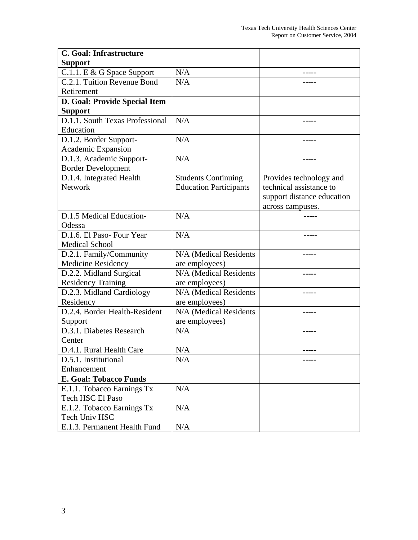| C. Goal: Infrastructure         |                               |                            |
|---------------------------------|-------------------------------|----------------------------|
| <b>Support</b>                  |                               |                            |
| C.1.1. E & G Space Support      | N/A                           |                            |
| C.2.1. Tuition Revenue Bond     | N/A                           |                            |
| Retirement                      |                               |                            |
| D. Goal: Provide Special Item   |                               |                            |
| <b>Support</b>                  |                               |                            |
| D.1.1. South Texas Professional | N/A                           |                            |
| Education                       |                               |                            |
| D.1.2. Border Support-          | N/A                           |                            |
| Academic Expansion              |                               |                            |
| D.1.3. Academic Support-        | N/A                           |                            |
| <b>Border Development</b>       |                               |                            |
| D.1.4. Integrated Health        | <b>Students Continuing</b>    | Provides technology and    |
| <b>Network</b>                  | <b>Education Participants</b> | technical assistance to    |
|                                 |                               | support distance education |
|                                 |                               | across campuses.           |
| D.1.5 Medical Education-        | N/A                           |                            |
| Odessa                          |                               |                            |
| D.1.6. El Paso-Four Year        | N/A                           |                            |
| <b>Medical School</b>           |                               |                            |
| D.2.1. Family/Community         | N/A (Medical Residents        | -----                      |
| Medicine Residency              | are employees)                |                            |
| D.2.2. Midland Surgical         | N/A (Medical Residents        |                            |
| <b>Residency Training</b>       | are employees)                |                            |
| D.2.3. Midland Cardiology       | N/A (Medical Residents        |                            |
| Residency                       | are employees)                |                            |
| D.2.4. Border Health-Resident   | N/A (Medical Residents        |                            |
| Support                         | are employees)                |                            |
| D.3.1. Diabetes Research        | N/A                           |                            |
| Center                          |                               |                            |
| D.4.1. Rural Health Care        | N/A                           | -----                      |
| D.5.1. Institutional            | N/A                           |                            |
| Enhancement                     |                               |                            |
| <b>E. Goal: Tobacco Funds</b>   |                               |                            |
| E.1.1. Tobacco Earnings Tx      | N/A                           |                            |
| Tech HSC El Paso                |                               |                            |
| E.1.2. Tobacco Earnings Tx      | N/A                           |                            |
| Tech Univ HSC                   |                               |                            |
| E.1.3. Permanent Health Fund    | N/A                           |                            |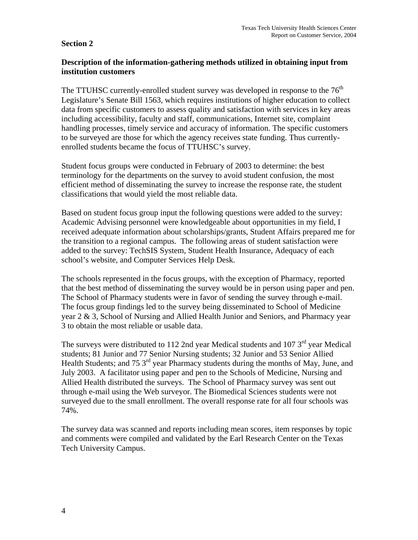#### **Section 2**

## **Description of the information-gathering methods utilized in obtaining input from institution customers**

The TTUHSC currently-enrolled student survey was developed in response to the  $76<sup>th</sup>$ Legislature's Senate Bill 1563, which requires institutions of higher education to collect data from specific customers to assess quality and satisfaction with services in key areas including accessibility, faculty and staff, communications, Internet site, complaint handling processes, timely service and accuracy of information. The specific customers to be surveyed are those for which the agency receives state funding. Thus currentlyenrolled students became the focus of TTUHSC's survey.

Student focus groups were conducted in February of 2003 to determine: the best terminology for the departments on the survey to avoid student confusion, the most efficient method of disseminating the survey to increase the response rate, the student classifications that would yield the most reliable data.

Based on student focus group input the following questions were added to the survey: Academic Advising personnel were knowledgeable about opportunities in my field, I received adequate information about scholarships/grants, Student Affairs prepared me for the transition to a regional campus. The following areas of student satisfaction were added to the survey: TechSIS System, Student Health Insurance, Adequacy of each school's website, and Computer Services Help Desk.

The schools represented in the focus groups, with the exception of Pharmacy, reported that the best method of disseminating the survey would be in person using paper and pen. The School of Pharmacy students were in favor of sending the survey through e-mail. The focus group findings led to the survey being disseminated to School of Medicine year 2 & 3, School of Nursing and Allied Health Junior and Seniors, and Pharmacy year 3 to obtain the most reliable or usable data.

The surveys were distributed to 112 2nd year Medical students and 107  $3<sup>rd</sup>$  year Medical students; 81 Junior and 77 Senior Nursing students; 32 Junior and 53 Senior Allied Health Students; and 75 3<sup>rd</sup> year Pharmacy students during the months of May, June, and July 2003. A facilitator using paper and pen to the Schools of Medicine, Nursing and Allied Health distributed the surveys. The School of Pharmacy survey was sent out through e-mail using the Web surveyor. The Biomedical Sciences students were not surveyed due to the small enrollment. The overall response rate for all four schools was 74%.

The survey data was scanned and reports including mean scores, item responses by topic and comments were compiled and validated by the Earl Research Center on the Texas Tech University Campus.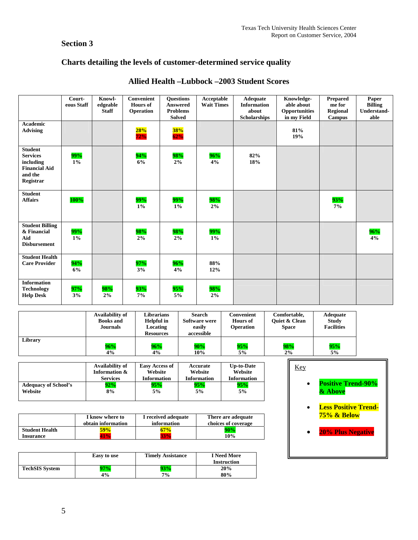# **Section 3**

# **Charts detailing the levels of customer-determined service quality**

|                                                                                                | Court-<br>eous Staff | Knowl-<br>edgeable<br><b>Staff</b> | Convenient<br><b>Hours</b> of<br>Operation | <b>Ouestions</b><br><b>Answered</b><br><b>Problems</b><br><b>Solved</b> | Acceptable<br><b>Wait Times</b> | Adequate<br><b>Information</b><br>about<br><b>Scholarships</b> | Knowledge-<br>able about<br>Opportunities<br>in my Field | <b>Prepared</b><br>me for<br>Regional<br>Campus | Paper<br><b>Billing</b><br>Understand-<br>able |
|------------------------------------------------------------------------------------------------|----------------------|------------------------------------|--------------------------------------------|-------------------------------------------------------------------------|---------------------------------|----------------------------------------------------------------|----------------------------------------------------------|-------------------------------------------------|------------------------------------------------|
| Academic<br><b>Advising</b>                                                                    |                      |                                    | 28%<br>72%                                 | 38%<br>62%                                                              |                                 |                                                                | 81%<br>19%                                               |                                                 |                                                |
| <b>Student</b><br><b>Services</b><br>including<br><b>Financial Aid</b><br>and the<br>Registrar | 99%<br>1%            |                                    | 94%<br>6%                                  | 98%<br>2%                                                               | 96%<br>4%                       | 82%<br>18%                                                     |                                                          |                                                 |                                                |
| <b>Student</b><br><b>Affairs</b>                                                               | 100%                 |                                    | 99%<br>$1\%$                               | 99%<br>$1\%$                                                            | 98%<br>2%                       |                                                                |                                                          | 93%<br>$7\%$                                    |                                                |
| <b>Student Billing</b><br>& Financial<br>Aid<br><b>Disbursement</b>                            | 99%<br>$1\%$         |                                    | 98%<br>2%                                  | 98%<br>$2\%$                                                            | 99%<br>$1\%$                    |                                                                |                                                          |                                                 | 96%<br>4%                                      |
| <b>Student Health</b><br><b>Care Provider</b>                                                  | 94%<br>6%            |                                    | $97\%$<br>3%                               | 96%<br>4%                                                               | 88%<br>12%                      |                                                                |                                                          |                                                 |                                                |
| <b>Information</b><br><b>Technology</b><br><b>Help Desk</b>                                    | 97%<br>3%            | 98%<br>2%                          | 93%<br>7%                                  | 95%<br>5%                                                               | 98%<br>2%                       |                                                                |                                                          |                                                 |                                                |

# **Allied Health –Lubbock –2003 Student Scores**

|         | Availability of<br><b>Books</b> and<br><b>Journals</b> | Librarians<br><b>Helpful</b> in<br>Locating<br><b>Resources</b> | Search<br><b>Software were</b><br>easily<br>accessible | Convenient<br><b>Hours of</b><br>Operation | Comfortable,<br><b>Ouiet &amp; Clean</b><br><b>Space</b> | Adequate<br><b>Study</b><br><b>Facilities</b> |
|---------|--------------------------------------------------------|-----------------------------------------------------------------|--------------------------------------------------------|--------------------------------------------|----------------------------------------------------------|-----------------------------------------------|
| Library | 96%                                                    | 96%                                                             | 90%                                                    | 95%                                        | 98%                                                      | 95%                                           |
|         | 4%                                                     | 4%                                                              | 10%                                                    | 5%                                         | 2%                                                       | 5%                                            |

|                             | Availability of | <b>Easy Access of</b> | Accurate           | <b>Up-to-Date</b>  |
|-----------------------------|-----------------|-----------------------|--------------------|--------------------|
|                             | Information &   | Website               | Website            | Website            |
|                             | <b>Services</b> | <b>Information</b>    | <b>Information</b> | <b>Information</b> |
| <b>Adequacy of School's</b> | 92%             | 95%                   | 95%                | 95%                |
| Website                     | 8%              | 5%                    | 5%                 | 5%                 |

|                       | I know where to<br>obtain information | I received adequate<br>information | There are adequate<br>choices of coverage |  |
|-----------------------|---------------------------------------|------------------------------------|-------------------------------------------|--|
| <b>Student Health</b> | $\frac{1}{9}$ %                       | 57%                                | 90%                                       |  |
| <b>Insurance</b>      |                                       |                                    | 10%                                       |  |

|                       | Easy to use | <b>Timely Assistance</b> | <b>I</b> Need More<br><b>Instruction</b> |
|-----------------------|-------------|--------------------------|------------------------------------------|
| <b>TechSIS System</b> | Y70/        | 3%                       | 20%                                      |
|                       | 4%          | 7%                       | 80%                                      |

| Key |                                            |
|-----|--------------------------------------------|
|     | <b>Positive Trend-90%</b><br>& Above       |
|     | <b>Less Positive Trend-</b><br>75% & Below |

• **20% Plus Negative**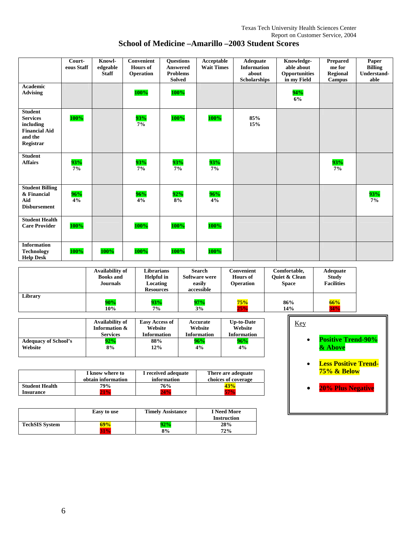|                                                                                                | Court-<br>eous Staff | Knowl-<br>edgeable<br><b>Staff</b> | Convenient<br><b>Hours</b> of<br>Operation | <b>Questions</b><br>Answered<br><b>Problems</b><br><b>Solved</b> | Acceptable<br><b>Wait Times</b> | <b>Adequate</b><br><b>Information</b><br>about<br><b>Scholarships</b> | Knowledge-<br>able about<br><b>Opportunities</b><br>in my Field | <b>Prepared</b><br>me for<br><b>Regional</b><br><b>Campus</b> | Paper<br><b>Billing</b><br>Understand-<br>able |
|------------------------------------------------------------------------------------------------|----------------------|------------------------------------|--------------------------------------------|------------------------------------------------------------------|---------------------------------|-----------------------------------------------------------------------|-----------------------------------------------------------------|---------------------------------------------------------------|------------------------------------------------|
| <b>Academic</b><br><b>Advising</b>                                                             |                      |                                    | 100%                                       | $100\%$                                                          |                                 |                                                                       | 94%<br>6%                                                       |                                                               |                                                |
| <b>Student</b><br><b>Services</b><br>including<br><b>Financial Aid</b><br>and the<br>Registrar | $100\%$              |                                    | 93%<br>7%                                  | 100%                                                             | 100%                            | 85%<br>15%                                                            |                                                                 |                                                               |                                                |
| <b>Student</b><br><b>Affairs</b>                                                               | 93%<br>7%            |                                    | 93%<br>7%                                  | 93%<br>$7\%$                                                     | 93%<br>7%                       |                                                                       |                                                                 | $\frac{93\%}{7\%}$                                            |                                                |
| <b>Student Billing</b><br>& Financial<br>Aid<br><b>Disbursement</b>                            | 96%<br>4%            |                                    | 96%<br>4%                                  | 92%<br>8%                                                        | 96%<br>4%                       |                                                                       |                                                                 |                                                               | 93%<br>$7\%$                                   |
| <b>Student Health</b><br><b>Care Provider</b>                                                  | <b>100%</b>          |                                    | 100%                                       | 100%                                                             | 100%                            |                                                                       |                                                                 |                                                               |                                                |
| <b>Information</b><br><b>Technology</b><br><b>Help Desk</b>                                    | 100%                 | 100%                               | 100%                                       | 100%                                                             | 100%                            |                                                                       |                                                                 |                                                               |                                                |

| School of Medicine – Amarillo – 2003 Student Scores |  |  |
|-----------------------------------------------------|--|--|

|         | Availability of<br><b>Books</b> and<br>Journals | Librarians<br><b>Helpful</b> in<br>Locating<br><b>Resources</b> | <b>Search</b><br>Software were<br>easily<br>accessible | Convenient<br><b>Hours</b> of<br><b>Operation</b> | Comfortable,<br><b>Ouiet &amp; Clean</b><br><b>Space</b> | Adequate<br><b>Study</b><br><b>Facilities</b> |
|---------|-------------------------------------------------|-----------------------------------------------------------------|--------------------------------------------------------|---------------------------------------------------|----------------------------------------------------------|-----------------------------------------------|
| Library | 90%                                             | 93%                                                             | 97%                                                    | 75%                                               | 86%                                                      | 66%                                           |
|         | 10%                                             | 7%                                                              | 3%                                                     | 25%                                               | 14%                                                      | 34%                                           |

|                             | Availability of | <b>Easy Access of</b> | Accurate           | <b>Up-to-Date</b>  |
|-----------------------------|-----------------|-----------------------|--------------------|--------------------|
|                             | Information &   | Website               | Website            | Website            |
|                             | <b>Services</b> | <b>Information</b>    | <b>Information</b> | <b>Information</b> |
| <b>Adequacy of School's</b> | 92%             | 88%                   | 96%                | 96%                |
| Website                     | 8%              | 12%                   | 4%                 | 4%                 |

|                       | I know where to    | I received adequate | There are adequate  |  |  |
|-----------------------|--------------------|---------------------|---------------------|--|--|
|                       | obtain information | information         | choices of coverage |  |  |
| <b>Student Health</b> | 79%                | 76%                 | 43%                 |  |  |
| <b>Insurance</b>      | <b>1%</b>          | 24%                 |                     |  |  |

|                       | Easy to use | <b>Timely Assistance</b> | <b>I</b> Need More<br><b>Instruction</b> |  |
|-----------------------|-------------|--------------------------|------------------------------------------|--|
| <b>TechSIS System</b> | <b>19%</b>  | 92%                      | 28%                                      |  |
|                       | 81%         | 8%                       | 72%                                      |  |

| Key |                                            |
|-----|--------------------------------------------|
|     | <b>Positive Trend-90%</b><br>& Above       |
|     | <b>Less Positive Trend-</b><br>75% & Below |
|     | <b>20% Plus Negative</b>                   |
|     |                                            |

r.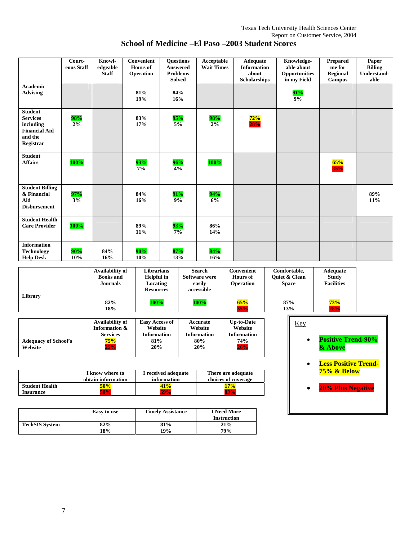| <b>Academic</b><br><b>Advising</b>                                                             | Court-<br>eous Staff | Knowl-<br>edgeable<br><b>Staff</b> | <b>Convenient</b><br><b>Hours</b> of<br>Operation<br>81% | <b>Ouestions</b><br>Answered<br><b>Problems</b><br><b>Solved</b><br>84% | Acceptable<br><b>Wait Times</b> | <b>Adequate</b><br><b>Information</b><br>about<br><b>Scholarships</b> | Knowledge-<br>able about<br>Opportunities<br>in my Field<br>91% | <b>Prepared</b><br>me for<br><b>Regional</b><br><b>Campus</b> | Paper<br><b>Billing</b><br>Understand-<br>able |
|------------------------------------------------------------------------------------------------|----------------------|------------------------------------|----------------------------------------------------------|-------------------------------------------------------------------------|---------------------------------|-----------------------------------------------------------------------|-----------------------------------------------------------------|---------------------------------------------------------------|------------------------------------------------|
|                                                                                                |                      |                                    | 19%                                                      | 16%                                                                     |                                 |                                                                       | 9%                                                              |                                                               |                                                |
| <b>Student</b><br><b>Services</b><br>including<br><b>Financial Aid</b><br>and the<br>Registrar | 98%<br>2%            |                                    | 83%<br>17%                                               | 95%<br>5%                                                               | 98%<br>2%                       | $\frac{72\%}{28\%}$                                                   |                                                                 |                                                               |                                                |
| <b>Student</b><br><b>Affairs</b>                                                               | 100%                 |                                    | 93%<br>7%                                                | 96%<br>4%                                                               | 100%                            |                                                                       |                                                                 | $\frac{65\%}{35\%}$                                           |                                                |
| <b>Student Billing</b><br>& Financial<br>Aid<br><b>Disbursement</b>                            | 97%<br>3%            |                                    | 84%<br>16%                                               | 91%<br>9%                                                               | 94%<br>6%                       |                                                                       |                                                                 |                                                               | 89%<br>11%                                     |
| <b>Student Health</b><br><b>Care Provider</b>                                                  | 100%                 |                                    | 89%<br>11%                                               | 93%<br>7%                                                               | 86%<br>14%                      |                                                                       |                                                                 |                                                               |                                                |
| <b>Information</b><br><b>Technology</b><br><b>Help Desk</b>                                    | 90%<br>10%           | 84%<br>16%                         | 90%<br>10%                                               | 87%<br>13%                                                              | 84%<br>16%                      |                                                                       |                                                                 |                                                               |                                                |

| School of Medicine – El Paso – 2003 Student Scores |  |
|----------------------------------------------------|--|

|         | Availability of<br><b>Books</b> and<br>Journals | Librarians<br><b>Helpful</b> in<br>Locating<br><b>Resources</b> | Search<br>Software were<br>easily<br>accessible | Convenient<br><b>Hours</b> of<br><b>Operation</b> | Comfortable,<br><b>Ouiet &amp; Clean</b><br><b>Space</b> | <b>Adequate</b><br><b>Study</b><br><b>Facilities</b> |
|---------|-------------------------------------------------|-----------------------------------------------------------------|-------------------------------------------------|---------------------------------------------------|----------------------------------------------------------|------------------------------------------------------|
| Library | 82%<br>18%                                      | $100\%$                                                         | 100%                                            | 65%<br>35%                                        | 87%<br>13%                                               | 73%<br>28%                                           |

|                             | Availability of<br>Information &<br><b>Services</b> | <b>Easy Access of</b><br>Website<br><b>Information</b> | Accurate<br>Website<br><b>Information</b> | <b>Up-to-Date</b><br>Website<br><b>Information</b> |
|-----------------------------|-----------------------------------------------------|--------------------------------------------------------|-------------------------------------------|----------------------------------------------------|
| <b>Adequacy of School's</b> | 75%                                                 | 81%                                                    | 80%                                       | 74%                                                |
| Website                     | 25%                                                 | 20%                                                    | 20%                                       | 26%                                                |

|                       | I know where to<br>obtain information | I received adequate<br>information | There are adequate<br>choices of coverage |  |
|-----------------------|---------------------------------------|------------------------------------|-------------------------------------------|--|
| <b>Student Health</b> | 50%                                   | 41%                                |                                           |  |
| <b>Insurance</b>      |                                       |                                    |                                           |  |

|                       | Easy to use | <b>Timely Assistance</b> | <b>I</b> Need More<br><b>Instruction</b> |
|-----------------------|-------------|--------------------------|------------------------------------------|
| <b>TechSIS System</b> | 82%         | 81%                      | 21%                                      |
|                       | 18%         | 19%                      | 79%                                      |

| Key |                                            |
|-----|--------------------------------------------|
|     | <b>Positive Trend-90%</b><br>& Above       |
|     | <b>Less Positive Trend-</b><br>75% & Below |
|     | <b>20% Plus Negative</b>                   |
|     |                                            |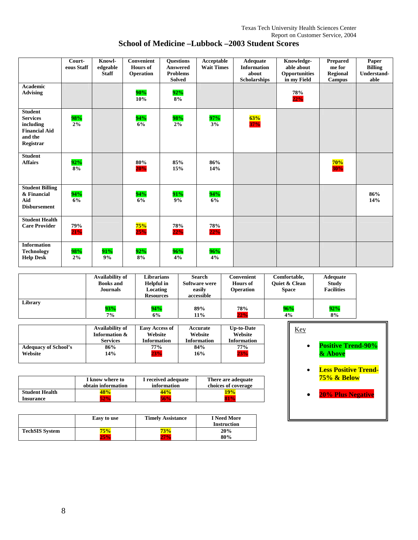## **School of Medicine –Lubbock –2003 Student Scores**

|                                                                                                | Court-<br>eous Staff | Knowl-<br>edgeable<br><b>Staff</b> | Convenient<br><b>Hours</b> of<br>Operation | <b>Ouestions</b><br><b>Answered</b><br><b>Problems</b><br><b>Solved</b> | Acceptable<br><b>Wait Times</b> | Adequate<br><b>Information</b><br>about<br><b>Scholarships</b> | Knowledge-<br>able about<br>Opportunities<br>in my Field | Prepared<br>me for<br><b>Regional</b><br><b>Campus</b> | Paper<br><b>Billing</b><br>Understand-<br>able |
|------------------------------------------------------------------------------------------------|----------------------|------------------------------------|--------------------------------------------|-------------------------------------------------------------------------|---------------------------------|----------------------------------------------------------------|----------------------------------------------------------|--------------------------------------------------------|------------------------------------------------|
| Academic<br><b>Advising</b>                                                                    |                      |                                    | 90%<br>10%                                 | 92%<br>8%                                                               |                                 |                                                                | 78%<br>22%                                               |                                                        |                                                |
| <b>Student</b><br><b>Services</b><br>including<br><b>Financial Aid</b><br>and the<br>Registrar | 98%<br>$2\%$         |                                    | 94%<br>6%                                  | 98%<br>2%                                                               | 97%<br>3%                       | $\frac{63\%}{37\%}$                                            |                                                          |                                                        |                                                |
| <b>Student</b><br><b>Affairs</b>                                                               | 92%<br>8%            |                                    | 80%<br>20%                                 | 85%<br>15%                                                              | 86%<br>14%                      |                                                                |                                                          | 70%<br><b>30%</b>                                      |                                                |
| <b>Student Billing</b><br>& Financial<br>Aid<br><b>Disbursement</b>                            | 94%<br>6%            |                                    | 94%<br>6%                                  | 91%<br>9%                                                               | 94%<br>6%                       |                                                                |                                                          |                                                        | 86%<br>14%                                     |
| <b>Student Health</b><br><b>Care Provider</b>                                                  | 79%<br>21%           |                                    | 75%<br>25%                                 | 78%<br>22%                                                              | 78%<br>22%                      |                                                                |                                                          |                                                        |                                                |
| <b>Information</b><br><b>Technology</b><br><b>Help Desk</b>                                    | 98%<br>2%            | 91%<br>9%                          | 92%<br>8%                                  | 96%<br>4%                                                               | 96%<br>4%                       |                                                                |                                                          |                                                        |                                                |

|         | Availability of<br><b>Books</b> and<br><b>Journals</b> | Librarians<br><b>Helpful</b> in<br>Locating<br><b>Resources</b> | Search<br>Software were<br>easily<br>accessible | Convenient<br><b>Hours</b> of<br><b>Operation</b> | Comfortable,<br><b>Ouiet &amp; Clean</b><br><b>Space</b> | <b>Adequate</b><br><b>Study</b><br><b>Facilities</b> |
|---------|--------------------------------------------------------|-----------------------------------------------------------------|-------------------------------------------------|---------------------------------------------------|----------------------------------------------------------|------------------------------------------------------|
| Library | 93%                                                    | 94%                                                             | 89%                                             | 78%                                               | 96%                                                      | 92%                                                  |
|         | 7%                                                     | 6%                                                              | 11%                                             | 22%                                               | 4%                                                       | 8%                                                   |

|                             | Availability of | <b>Easy Access of</b> | Accurate           | <b>Up-to-Date</b>  |
|-----------------------------|-----------------|-----------------------|--------------------|--------------------|
|                             | Information &   | Website               | Website            | Website            |
|                             | <b>Services</b> | <b>Information</b>    | <b>Information</b> | <b>Information</b> |
| <b>Adequacy of School's</b> | 86%             | 77%                   | 84%                | 77%                |
| Website                     | 14%             | 23%                   | 16%                | 23%                |

|                       | I know where to<br>obtain information | I received adequate<br>information | There are adequate<br>choices of coverage |
|-----------------------|---------------------------------------|------------------------------------|-------------------------------------------|
| <b>Student Health</b> | 18%                                   | 44%                                | 9%                                        |
| <b>Insurance</b>      |                                       | 56%                                |                                           |

|                       | Easy to use | <b>Timely Assistance</b> | <b>I</b> Need More<br><b>Instruction</b> |
|-----------------------|-------------|--------------------------|------------------------------------------|
| <b>TechSIS System</b> | 75%         | 73%                      | 20%                                      |
|                       | 25%         |                          | 80%                                      |

| Kev |                                            |
|-----|--------------------------------------------|
|     | <b>Positive Trend-90%</b><br>& Above       |
|     | <b>Less Positive Trend-</b><br>75% & Below |
|     | <b>20% Plus Negative</b>                   |
|     |                                            |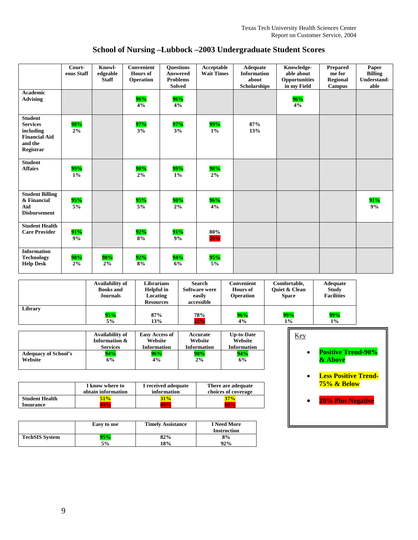**School of Nursing –Lubbock –2003 Undergraduate Student Scores** 

|                                                                                                | Court-<br>eous Staff | Knowl-<br>edgeable<br><b>Staff</b> | Convenient<br><b>Hours of</b><br>Operation | <b>Ouestions</b><br><b>Answered</b><br><b>Problems</b><br><b>Solved</b> | Acceptable<br><b>Wait Times</b> | Adequate<br><b>Information</b><br>about<br><b>Scholarships</b> | Knowledge-<br>able about<br>Opportunities<br>in my Field | Prepared<br>me for<br>Regional<br><b>Campus</b> | Paper<br><b>Billing</b><br><b>Understand-</b><br>able |
|------------------------------------------------------------------------------------------------|----------------------|------------------------------------|--------------------------------------------|-------------------------------------------------------------------------|---------------------------------|----------------------------------------------------------------|----------------------------------------------------------|-------------------------------------------------|-------------------------------------------------------|
| <b>Academic</b><br><b>Advising</b>                                                             |                      |                                    | 96%<br>4%                                  | 96%<br>4%                                                               |                                 |                                                                | 96%<br>4%                                                |                                                 |                                                       |
| <b>Student</b><br><b>Services</b><br>including<br><b>Financial Aid</b><br>and the<br>Registrar | 98%<br>2%            |                                    | 97%<br>3%                                  | 97%<br>3%                                                               | $\frac{99%}{1%}$                | 87%<br>13%                                                     |                                                          |                                                 |                                                       |
| <b>Student</b><br><b>Affairs</b>                                                               | 99%<br>$1\%$         |                                    | 98%<br>2%                                  | 99%<br>$1\%$                                                            | 98%<br>2%                       |                                                                |                                                          |                                                 |                                                       |
| <b>Student Billing</b><br>& Financial<br>Aid<br><b>Disbursement</b>                            | 95%<br>$5\%$         |                                    | 95%<br>5%                                  | 98%<br>2%                                                               | 96%<br>4%                       |                                                                |                                                          |                                                 | 91%<br>9%                                             |
| <b>Student Health</b><br><b>Care Provider</b>                                                  | 91%<br>9%            |                                    | 92%<br>8%                                  | 91%<br>9%                                                               | 80%<br>20%                      |                                                                |                                                          |                                                 |                                                       |
| <b>Information</b><br><b>Technology</b><br><b>Help Desk</b>                                    | 98%<br>2%            | 98%<br>2%                          | 92%<br>8%                                  | 94%<br>6%                                                               | 95%<br>5%                       |                                                                |                                                          |                                                 |                                                       |

|         | Availability of<br><b>Books</b> and<br><b>Journals</b> | Librarians<br>Helpful in<br>Locating<br><b>Resources</b> | Search<br><b>Software were</b><br>easily<br>accessible | Convenient<br><b>Hours</b> of<br><b>Operation</b> | Comfortable,<br><b>Ouiet &amp; Clean</b><br><b>Space</b> | <b>Adequate</b><br><b>Study</b><br><b>Facilities</b> |
|---------|--------------------------------------------------------|----------------------------------------------------------|--------------------------------------------------------|---------------------------------------------------|----------------------------------------------------------|------------------------------------------------------|
| Library | 95%                                                    | 87%                                                      | 78%                                                    | 96%                                               | 99%                                                      | 99%                                                  |
|         | 5%                                                     | 13%                                                      | 22%                                                    | 4%                                                | $1\%$                                                    | $1\%$                                                |

|                             | Availability of | <b>Easy Access of</b> | Accurate           | <b>Up-to-Date</b>  |
|-----------------------------|-----------------|-----------------------|--------------------|--------------------|
|                             | Information &   | Website               | Website            | Website            |
|                             | <b>Services</b> | <b>Information</b>    | <b>Information</b> | <b>Information</b> |
| <b>Adequacy of School's</b> | 94%             | 96%                   | 98%                | 94%                |
| Website                     | 6%              | 4%                    | 2%                 | 6%                 |
|                             |                 |                       |                    |                    |

|                       | I know where to<br>obtain information | I received adequate<br>information | There are adequate<br>choices of coverage |  |
|-----------------------|---------------------------------------|------------------------------------|-------------------------------------------|--|
| <b>Student Health</b> | 51%                                   | 31%                                | 37%                                       |  |
| <b>Insurance</b>      |                                       |                                    |                                           |  |

|                       | Easy to use | <b>Timely Assistance</b> | <b>I</b> Need More<br><b>Instruction</b> |
|-----------------------|-------------|--------------------------|------------------------------------------|
| <b>TechSIS System</b> | 95%         | 82%                      | 8%                                       |
|                       | 5%          | 18%                      | 92%                                      |

| Key |                                            |
|-----|--------------------------------------------|
|     | <b>Positive Trend-90%</b><br>& Above       |
|     | <b>Less Positive Trend-</b><br>75% & Below |
|     | <b>20% Plus Negative</b>                   |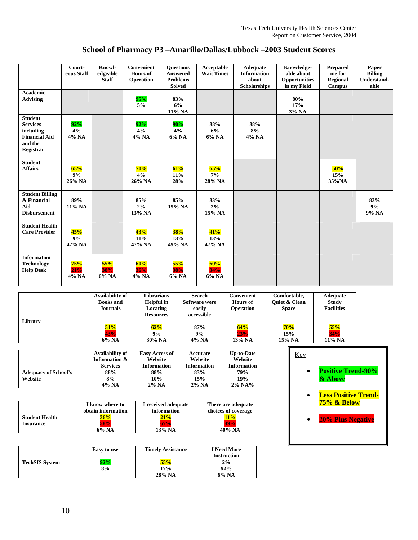| School of Pharmacy P3 - Amarillo/Dallas/Lubbock - 2003 Student Scores |  |
|-----------------------------------------------------------------------|--|
|                                                                       |  |

|                                                                                                | Court-<br>eous Staff | Knowl-<br>edgeable<br><b>Staff</b> | Convenient<br><b>Hours</b> of<br>Operation | <b>Ouestions</b><br><b>Answered</b><br><b>Problems</b><br><b>Solved</b> | <b>Acceptable</b><br><b>Wait Times</b> | Adequate<br><b>Information</b><br>about<br><b>Scholarships</b> | Knowledge-<br>able about<br>Opportunities<br>in my Field | <b>Prepared</b><br>me for<br><b>Regional</b><br><b>Campus</b> | Paper<br><b>Billing</b><br>Understand-<br>able |
|------------------------------------------------------------------------------------------------|----------------------|------------------------------------|--------------------------------------------|-------------------------------------------------------------------------|----------------------------------------|----------------------------------------------------------------|----------------------------------------------------------|---------------------------------------------------------------|------------------------------------------------|
| <b>Academic</b><br><b>Advising</b>                                                             |                      |                                    | 95%<br>$5\%$                               | 83%<br>6%<br>11% NA                                                     |                                        |                                                                | 80%<br>17%<br>3% NA                                      |                                                               |                                                |
| <b>Student</b><br><b>Services</b><br>including<br><b>Financial Aid</b><br>and the<br>Registrar | 92%<br>4%<br>4% NA   |                                    | 92%<br>4%<br>4% NA                         | 90%<br>4%<br>6% NA                                                      | 88%<br>6%<br>6% NA                     | 88%<br>8%<br>4% NA                                             |                                                          |                                                               |                                                |
| <b>Student</b><br><b>Affairs</b>                                                               | 65%<br>9%<br>26% NA  |                                    | 70%<br>4%<br>26% NA                        | 61%<br>11%<br>28%                                                       | 65%<br>$7\%$<br>28% NA                 |                                                                |                                                          | 50%<br>15%<br>35%NA                                           |                                                |
| <b>Student Billing</b><br>& Financial<br>Aid<br><b>Disbursement</b>                            | 89%<br>11% NA        |                                    | 85%<br>2%<br>13% NA                        | 85%<br>15% NA                                                           | 83%<br>2%<br>15% NA                    |                                                                |                                                          |                                                               | 83%<br>9%<br>9% NA                             |
| <b>Student Health</b><br><b>Care Provider</b>                                                  | 45%<br>9%<br>47% NA  |                                    | 43%<br>$11\%$<br>47% NA                    | <b>38%</b><br>13%<br>49% NA                                             | 41%<br>13%<br>47% NA                   |                                                                |                                                          |                                                               |                                                |
| <b>Information</b><br><b>Technology</b><br><b>Help Desk</b>                                    | 75%<br>21%<br>4% NA  | $55\%$<br>38%<br>6% NA             | 60%<br>36%<br>4% NA                        | 55%<br>38%<br>6% NA                                                     | 60%<br>34%<br>6% NA                    |                                                                |                                                          |                                                               |                                                |

|         | Availability of<br><b>Books</b> and<br><b>Journals</b> | <b>Librarians</b><br>Helpful in<br>Locating<br><b>Resources</b> | Search<br>Software were<br>easily<br>accessible | Convenient<br><b>Hours</b> of<br><b>Operation</b> | Comfortable,<br><b>Ouiet &amp; Clean</b><br><b>Space</b> | <b>Adequate</b><br><b>Study</b><br><b>Facilities</b> |
|---------|--------------------------------------------------------|-----------------------------------------------------------------|-------------------------------------------------|---------------------------------------------------|----------------------------------------------------------|------------------------------------------------------|
| Library | 51%                                                    | 62%                                                             | 87%                                             | 64%                                               | 70%                                                      | 55%                                                  |
|         | 43%                                                    | 9%                                                              | 9%                                              | 23%                                               | 15%                                                      | 34%                                                  |
|         | 6% NA                                                  | 30% NA                                                          | 4% NA                                           | 13% NA                                            | 15% NA                                                   | 11% NA                                               |

|                             | Availability of | <b>Easy Access of</b> | Accurate           | <b>Up-to-Date</b>  |
|-----------------------------|-----------------|-----------------------|--------------------|--------------------|
|                             | Information &   | Website               | Website            | Website            |
|                             | <b>Services</b> | <b>Information</b>    | <b>Information</b> | <b>Information</b> |
| <b>Adequacy of School's</b> | 88%             | 88%                   | 83%                | 79%                |
| Website                     | 8%              | 10%                   | 15%                | 19%                |
|                             | 4% NA           | $2\%$ NA              | $2\%$ NA           | $2\%$ NA%          |

|                       | I know where to<br>obtain information | I received adequate<br>information | There are adequate<br>choices of coverage |
|-----------------------|---------------------------------------|------------------------------------|-------------------------------------------|
| <b>Student Health</b> | 36%                                   | 21%                                | 11%                                       |
| <b>Insurance</b>      | 58%                                   |                                    |                                           |
|                       | $6\%$ NA                              | 13% NA                             | 40% NA                                    |

|                       | Easy to use | <b>Timely Assistance</b> | <b>I</b> Need More<br><b>Instruction</b> |
|-----------------------|-------------|--------------------------|------------------------------------------|
| <b>TechSIS System</b> | 2%          | 55%                      | 2%                                       |
|                       | 8%          | 17%                      | 92%                                      |
|                       |             | 28% NA                   | 6% NA                                    |

| <b>Key</b> |                                            |
|------------|--------------------------------------------|
|            | <b>Positive Trend-90%</b><br>& Above       |
|            | <b>Less Positive Trend-</b><br>75% & Below |
|            | <b>20% Plus Negative</b>                   |
|            |                                            |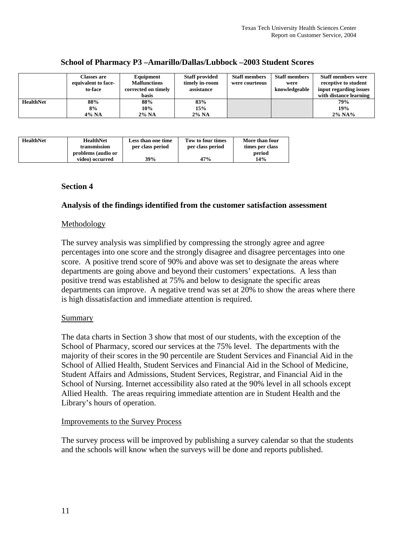|                  | Classes are<br>equivalent to face-<br>to-face | Equipment<br><b>Malfunctions</b><br>corrected on timely<br>basis | <b>Staff provided</b><br>timely in-room<br>assistance | <b>Staff members</b><br>were courteous | <b>Staff members</b><br>were<br>knowledgeable | <b>Staff members were</b><br>receptive to student<br>input regarding issues<br>with distance learning |
|------------------|-----------------------------------------------|------------------------------------------------------------------|-------------------------------------------------------|----------------------------------------|-----------------------------------------------|-------------------------------------------------------------------------------------------------------|
| <b>HealthNet</b> | 88%                                           | 88%                                                              | 83%                                                   |                                        |                                               | 79%                                                                                                   |
|                  | 8%                                            | 10%                                                              | 15%                                                   |                                        |                                               | 19%                                                                                                   |
|                  | 4% NA                                         | $2\%$ NA                                                         | $2\%$ NA                                              |                                        |                                               | $2\%$ NA%                                                                                             |

#### **School of Pharmacy P3 –Amarillo/Dallas/Lubbock –2003 Student Scores**

| <b>HealthNet</b> | <b>HealthNet</b>   | Less than one time | Tow to four times | More than four  |
|------------------|--------------------|--------------------|-------------------|-----------------|
|                  | transmission       | per class period   | per class period  | times per class |
|                  | problems (audio or |                    |                   | period          |
|                  | video) occurred    | <b>39%</b>         | 47%               | 14%             |

#### **Section 4**

#### **Analysis of the findings identified from the customer satisfaction assessment**

#### Methodology

The survey analysis was simplified by compressing the strongly agree and agree percentages into one score and the strongly disagree and disagree percentages into one score. A positive trend score of 90% and above was set to designate the areas where departments are going above and beyond their customers' expectations. A less than positive trend was established at 75% and below to designate the specific areas departments can improve. A negative trend was set at 20% to show the areas where there is high dissatisfaction and immediate attention is required.

#### Summary

The data charts in Section 3 show that most of our students, with the exception of the School of Pharmacy, scored our services at the 75% level. The departments with the majority of their scores in the 90 percentile are Student Services and Financial Aid in the School of Allied Health, Student Services and Financial Aid in the School of Medicine, Student Affairs and Admissions, Student Services, Registrar, and Financial Aid in the School of Nursing. Internet accessibility also rated at the 90% level in all schools except Allied Health. The areas requiring immediate attention are in Student Health and the Library's hours of operation.

#### Improvements to the Survey Process

The survey process will be improved by publishing a survey calendar so that the students and the schools will know when the surveys will be done and reports published.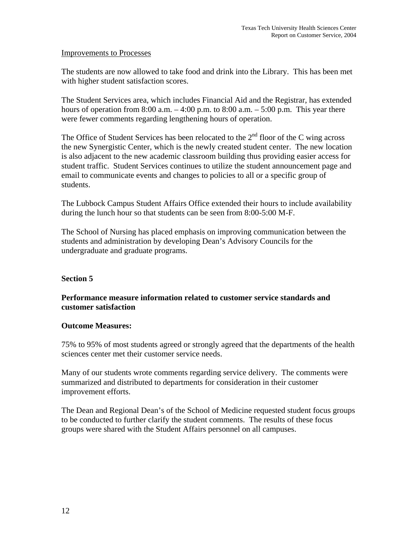#### Improvements to Processes

The students are now allowed to take food and drink into the Library. This has been met with higher student satisfaction scores.

The Student Services area, which includes Financial Aid and the Registrar, has extended hours of operation from 8:00 a.m.  $-4:00$  p.m. to 8:00 a.m.  $-5:00$  p.m. This year there were fewer comments regarding lengthening hours of operation.

The Office of Student Services has been relocated to the  $2<sup>nd</sup>$  floor of the C wing across the new Synergistic Center, which is the newly created student center. The new location is also adjacent to the new academic classroom building thus providing easier access for student traffic. Student Services continues to utilize the student announcement page and email to communicate events and changes to policies to all or a specific group of students.

The Lubbock Campus Student Affairs Office extended their hours to include availability during the lunch hour so that students can be seen from 8:00-5:00 M-F.

The School of Nursing has placed emphasis on improving communication between the students and administration by developing Dean's Advisory Councils for the undergraduate and graduate programs.

#### **Section 5**

#### **Performance measure information related to customer service standards and customer satisfaction**

#### **Outcome Measures:**

75% to 95% of most students agreed or strongly agreed that the departments of the health sciences center met their customer service needs.

Many of our students wrote comments regarding service delivery. The comments were summarized and distributed to departments for consideration in their customer improvement efforts.

The Dean and Regional Dean's of the School of Medicine requested student focus groups to be conducted to further clarify the student comments. The results of these focus groups were shared with the Student Affairs personnel on all campuses.